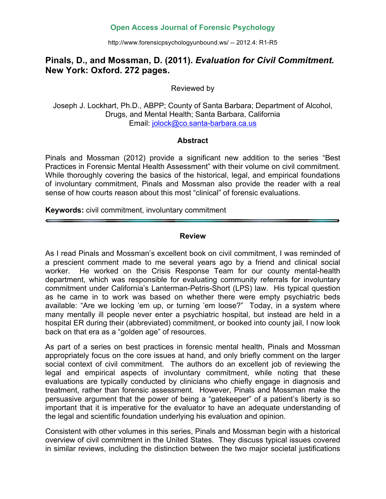## **Open Access Journal of Forensic Psychology**

http://www.forensicpsychologyunbound.ws/ -- 2012.4: R1-R5

# **Pinals, D., and Mossman, D. (2011).** *Evaluation for Civil Commitment.*  **New York: Oxford. 272 pages.**

Reviewed by

Joseph J. Lockhart, Ph.D., ABPP; County of Santa Barbara; Department of Alcohol, Drugs, and Mental Health; Santa Barbara, California Email: jolock@co.santa-barbara.ca.us

#### **Abstract**

Pinals and Mossman (2012) provide a significant new addition to the series "Best Practices in Forensic Mental Health Assessment" with their volume on civil commitment. While thoroughly covering the basics of the historical, legal, and empirical foundations of involuntary commitment, Pinals and Mossman also provide the reader with a real sense of how courts reason about this most "clinical" of forensic evaluations.

**Keywords:** civil commitment, involuntary commitment

#### **Review**

As I read Pinals and Mossman's excellent book on civil commitment, I was reminded of a prescient comment made to me several years ago by a friend and clinical social worker. He worked on the Crisis Response Team for our county mental-health department, which was responsible for evaluating community referrals for involuntary commitment under California's Lanterman-Petris-Short (LPS) law. His typical question as he came in to work was based on whether there were empty psychiatric beds available: "Are we locking 'em up, or turning 'em loose?" Today, in a system where many mentally ill people never enter a psychiatric hospital, but instead are held in a hospital ER during their (abbreviated) commitment, or booked into county jail, I now look back on that era as a "golden age" of resources.

As part of a series on best practices in forensic mental health, Pinals and Mossman appropriately focus on the core issues at hand, and only briefly comment on the larger social context of civil commitment. The authors do an excellent job of reviewing the legal and empirical aspects of involuntary commitment, while noting that these evaluations are typically conducted by clinicians who chiefly engage in diagnosis and treatment, rather than forensic assessment. However, Pinals and Mossman make the persuasive argument that the power of being a "gatekeeper" of a patient's liberty is so important that it is imperative for the evaluator to have an adequate understanding of the legal and scientific foundation underlying his evaluation and opinion.

Consistent with other volumes in this series, Pinals and Mossman begin with a historical overview of civil commitment in the United States. They discuss typical issues covered in similar reviews, including the distinction between the two major societal justifications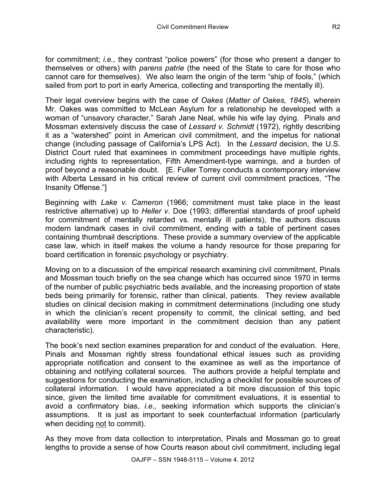for commitment; *i.e.,* they contrast "police powers" (for those who present a danger to themselves or others) with *parens patrie* (the need of the State to care for those who cannot care for themselves). We also learn the origin of the term "ship of fools," (which sailed from port to port in early America, collecting and transporting the mentally ill).

Their legal overview begins with the case of *Oakes* (*Matter of Oakes, 1845*), wherein Mr. Oakes was committed to McLean Asylum for a relationship he developed with a woman of "unsavory character," Sarah Jane Neal, while his wife lay dying. Pinals and Mossman extensively discuss the case of *Lessard v. Schmidt* (1972), rightly describing it as a "watershed" point in American civil commitment, and the impetus for national change (including passage of California's LPS Act). In the *Lessard* decision, the U.S. District Court ruled that examinees in commitment proceedings have multiple rights, including rights to representation, Fifth Amendment-type warnings, and a burden of proof beyond a reasonable doubt. [E. Fuller Torrey conducts a contemporary interview with Alberta Lessard in his critical review of current civil commitment practices, "The Insanity Offense."]

Beginning with *Lake v. Cameron* (1966; commitment must take place in the least restrictive alternative) up to *Heller v.* Doe (1993; differential standards of proof upheld for commitment of mentally retarded vs. mentally ill patients), the authors discuss modern landmark cases in civil commitment, ending with a table of pertinent cases containing thumbnail descriptions. These provide a summary overview of the applicable case law, which in itself makes the volume a handy resource for those preparing for board certification in forensic psychology or psychiatry.

Moving on to a discussion of the empirical research examining civil commitment, Pinals and Mossman touch briefly on the sea change which has occurred since 1970 in terms of the number of public psychiatric beds available, and the increasing proportion of state beds being primarily for forensic, rather than clinical, patients. They review available studies on clinical decision making in commitment determinations (including one study in which the clinician's recent propensity to commit, the clinical setting, and bed availability were more important in the commitment decision than any patient characteristic).

The book's next section examines preparation for and conduct of the evaluation. Here, Pinals and Mossman rightly stress foundational ethical issues such as providing appropriate notification and consent to the examinee as well as the importance of obtaining and notifying collateral sources. The authors provide a helpful template and suggestions for conducting the examination, including a checklist for possible sources of collateral information. I would have appreciated a bit more discussion of this topic since, given the limited time available for commitment evaluations, it is essential to avoid a confirmatory bias, *i.e.,* seeking information which supports the clinician's assumptions. It is just as important to seek counterfactual information (particularly when deciding not to commit).

As they move from data collection to interpretation, Pinals and Mossman go to great lengths to provide a sense of how Courts reason about civil commitment, including legal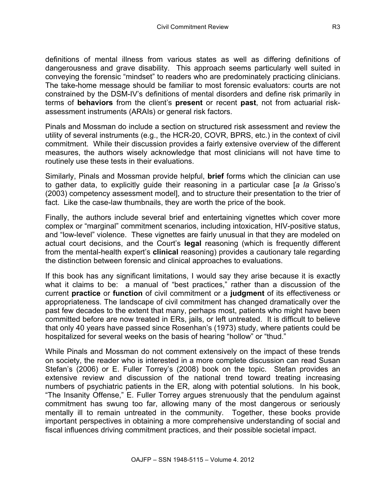definitions of mental illness from various states as well as differing definitions of dangerousness and grave disability. This approach seems particularly well suited in conveying the forensic "mindset" to readers who are predominately practicing clinicians. The take-home message should be familiar to most forensic evaluators: courts are not constrained by the DSM-IV's definitions of mental disorders and define risk primarily in terms of **behaviors** from the client's **present** or recent **past**, not from actuarial riskassessment instruments (ARAIs) or general risk factors.

Pinals and Mossman do include a section on structured risk assessment and review the utility of several instruments (e.g., the HCR-20, COVR, BPRS, etc.) in the context of civil commitment. While their discussion provides a fairly extensive overview of the different measures, the authors wisely acknowledge that most clinicians will not have time to routinely use these tests in their evaluations.

Similarly, Pinals and Mossman provide helpful, **brief** forms which the clinician can use to gather data, to explicitly guide their reasoning in a particular case [*a la* Grisso's (2003) competency assessment model], and to structure their presentation to the trier of fact. Like the case-law thumbnails, they are worth the price of the book.

Finally, the authors include several brief and entertaining vignettes which cover more complex or "marginal" commitment scenarios, including intoxication, HIV-positive status, and "low-level" violence. These vignettes are fairly unusual in that they are modeled on actual court decisions, and the Court's **legal** reasoning (which is frequently different from the mental-health expert's **clinical** reasoning) provides a cautionary tale regarding the distinction between forensic and clinical approaches to evaluations.

If this book has any significant limitations, I would say they arise because it is exactly what it claims to be: a manual of "best practices," rather than a discussion of the current **practice** or **function** of civil commitment or a **judgment** of its effectiveness or appropriateness. The landscape of civil commitment has changed dramatically over the past few decades to the extent that many, perhaps most, patients who might have been committed before are now treated in ERs, jails, or left untreated. It is difficult to believe that only 40 years have passed since Rosenhan's (1973) study, where patients could be hospitalized for several weeks on the basis of hearing "hollow" or "thud."

While Pinals and Mossman do not comment extensively on the impact of these trends on society, the reader who is interested in a more complete discussion can read Susan Stefan's (2006) or E. Fuller Torrey's (2008) book on the topic. Stefan provides an extensive review and discussion of the national trend toward treating increasing numbers of psychiatric patients in the ER, along with potential solutions. In his book, "The Insanity Offense," E. Fuller Torrey argues strenuously that the pendulum against commitment has swung too far, allowing many of the most dangerous or seriously mentally ill to remain untreated in the community. Together, these books provide important perspectives in obtaining a more comprehensive understanding of social and fiscal influences driving commitment practices, and their possible societal impact.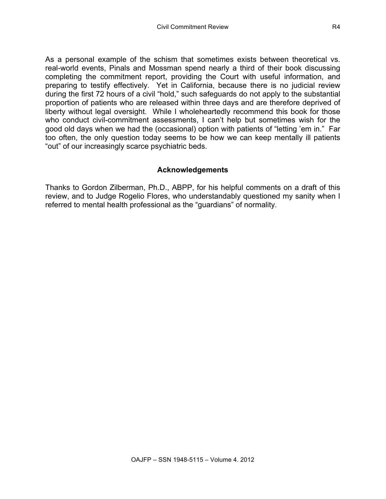As a personal example of the schism that sometimes exists between theoretical vs. real-world events, Pinals and Mossman spend nearly a third of their book discussing completing the commitment report, providing the Court with useful information, and preparing to testify effectively. Yet in California, because there is no judicial review during the first 72 hours of a civil "hold," such safeguards do not apply to the substantial proportion of patients who are released within three days and are therefore deprived of liberty without legal oversight. While I wholeheartedly recommend this book for those who conduct civil-commitment assessments, I can't help but sometimes wish for the good old days when we had the (occasional) option with patients of "letting 'em in." Far too often, the only question today seems to be how we can keep mentally ill patients "out" of our increasingly scarce psychiatric beds.

### **Acknowledgements**

Thanks to Gordon Zilberman, Ph.D., ABPP, for his helpful comments on a draft of this review, and to Judge Rogelio Flores, who understandably questioned my sanity when I referred to mental health professional as the "guardians" of normality.